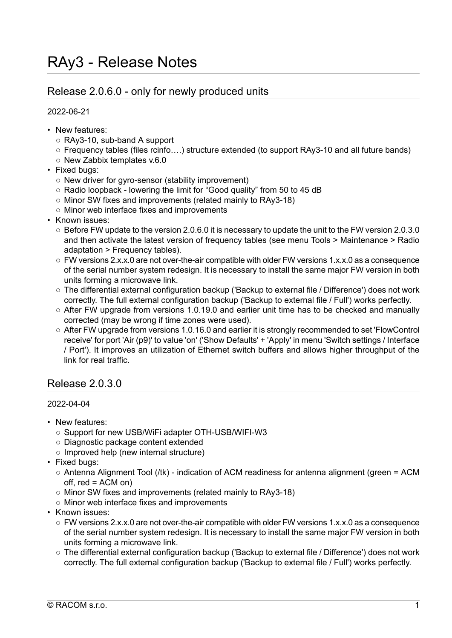# Release 2.0.6.0 - only for newly produced units

2022-06-21

- New features:
	- RAy3-10, sub-band A support
	- Frequency tables (files rcinfo….) structure extended (to support RAy3-10 and all future bands)
	- New Zabbix templates v.6.0
- Fixed bugs:
	- New driver for gyro-sensor (stability improvement)
	- Radio loopback lowering the limit for "Good quality" from 50 to 45 dB
	- Minor SW fixes and improvements (related mainly to RAy3-18)
	- Minor web interface fixes and improvements
- Known issues:
	- Before FW update to the version 2.0.6.0 it is necessary to update the unit to the FW version 2.0.3.0 and then activate the latest version of frequency tables (see menu Tools > Maintenance > Radio adaptation > Frequency tables).
	- FW versions 2.x.x.0 are not over-the-air compatible with older FW versions 1.x.x.0 as a consequence of the serial number system redesign. It is necessary to install the same major FW version in both units forming a microwave link.
	- The differential external configuration backup ('Backup to external file / Difference') does not work correctly. The full external configuration backup ('Backup to external file / Full') works perfectly.
	- After FW upgrade from versions 1.0.19.0 and earlier unit time has to be checked and manually corrected (may be wrong if time zones were used).
	- After FW upgrade from versions 1.0.16.0 and earlier it is strongly recommended to set 'FlowControl receive' for port 'Air (p9)' to value 'on' ('Show Defaults' + 'Apply' in menu 'Switch settings / Interface / Port'). It improves an utilization of Ethernet switch buffers and allows higher throughput of the link for real traffic.

# Release 2.0.3.0

### 2022-04-04

- New features:
	- Support for new USB/WiFi adapter OTH-USB/WIFI-W3
	- Diagnostic package content extended
	- Improved help (new internal structure)
- Fixed bugs:
	- Antenna Alignment Tool (/tk) indication of ACM readiness for antenna alignment (green = ACM off, red = ACM on)
	- Minor SW fixes and improvements (related mainly to RAy3-18)
	- Minor web interface fixes and improvements
- Known issues:
	- FW versions 2.x.x.0 are not over-the-air compatible with older FW versions 1.x.x.0 as a consequence of the serial number system redesign. It is necessary to install the same major FW version in both units forming a microwave link.
	- The differential external configuration backup ('Backup to external file / Difference') does not work correctly. The full external configuration backup ('Backup to external file / Full') works perfectly.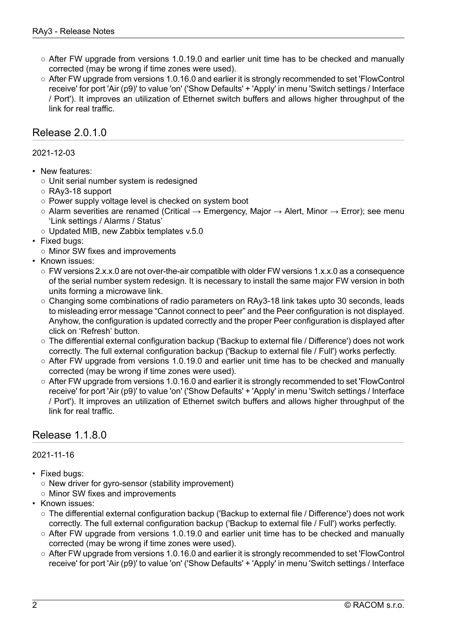- $\circ$  After FW upgrade from versions 1.0.19.0 and earlier unit time has to be checked and manually corrected (may be wrong if time zones were used).
- After FW upgrade from versions 1.0.16.0 and earlier it is strongly recommended to set 'FlowControl receive' for port 'Air (p9)' to value 'on' ('Show Defaults' + 'Apply' in menu 'Switch settings / Interface / Port'). It improves an utilization of Ethernet switch buffers and allows higher throughput of the link for real traffic.

## Release 2.0.1.0

### 2021-12-03

- New features:
	- Unit serial number system is redesigned
	- RAy3-18 support
	- Power supply voltage level is checked on system boot
	- $\circ$  Alarm severities are renamed (Critical  $\rightarrow$  Emergency, Major  $\rightarrow$  Alert, Minor  $\rightarrow$  Error); see menu 'Link settings / Alarms / Status'
	- Updated MIB, new Zabbix templates v.5.0
- Fixed bugs:
- Minor SW fixes and improvements
- Known issues:
	- $\circ$  FW versions 2.x.x.0 are not over-the-air compatible with older FW versions 1.x.x.0 as a consequence of the serial number system redesign. It is necessary to install the same major FW version in both units forming a microwave link.
	- Changing some combinations of radio parameters on RAy3-18 link takes upto 30 seconds, leads to misleading error message "Cannot connect to peer" and the Peer configuration is not displayed. Anyhow, the configuration is updated correctly and the proper Peer configuration is displayed after click on 'Refresh' button.
	- The differential external configuration backup ('Backup to external file / Difference') does not work correctly. The full external configuration backup ('Backup to external file / Full') works perfectly.
	- After FW upgrade from versions 1.0.19.0 and earlier unit time has to be checked and manually corrected (may be wrong if time zones were used).
	- After FW upgrade from versions 1.0.16.0 and earlier it is strongly recommended to set 'FlowControl receive' for port 'Air (p9)' to value 'on' ('Show Defaults' + 'Apply' in menu 'Switch settings / Interface / Port'). It improves an utilization of Ethernet switch buffers and allows higher throughput of the link for real traffic.

## Release 1.1.8.0

### 2021-11-16

- Fixed bugs:
	- New driver for gyro-sensor (stability improvement)
	- Minor SW fixes and improvements
- Known issues:
	- The differential external configuration backup ('Backup to external file / Difference') does not work correctly. The full external configuration backup ('Backup to external file / Full') works perfectly.
	- After FW upgrade from versions 1.0.19.0 and earlier unit time has to be checked and manually corrected (may be wrong if time zones were used).
	- After FW upgrade from versions 1.0.16.0 and earlier it is strongly recommended to set 'FlowControl receive' for port 'Air (p9)' to value 'on' ('Show Defaults' + 'Apply' in menu 'Switch settings / Interface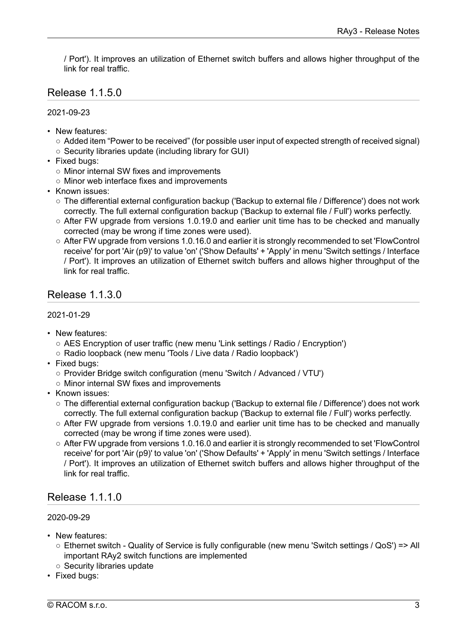/ Port'). It improves an utilization of Ethernet switch buffers and allows higher throughput of the link for real traffic.

# Release 1.1.5.0

2021-09-23

- New features:
	- Added item "Power to be received" (for possible user input of expected strength of received signal)
	- Security libraries update (including library for GUI)
- Fixed bugs:
	- Minor internal SW fixes and improvements
	- Minor web interface fixes and improvements
- Known issues:
	- The differential external configuration backup ('Backup to external file / Difference') does not work correctly. The full external configuration backup ('Backup to external file / Full') works perfectly.
	- $\circ$  After FW upgrade from versions 1.0.19.0 and earlier unit time has to be checked and manually corrected (may be wrong if time zones were used).
	- After FW upgrade from versions 1.0.16.0 and earlier it is strongly recommended to set 'FlowControl receive' for port 'Air (p9)' to value 'on' ('Show Defaults' + 'Apply' in menu 'Switch settings / Interface / Port'). It improves an utilization of Ethernet switch buffers and allows higher throughput of the link for real traffic.

## Release 1.1.3.0

### 2021-01-29

- New features:
	- AES Encryption of user traffic (new menu 'Link settings / Radio / Encryption')
	- Radio loopback (new menu 'Tools / Live data / Radio loopback')
- Fixed bugs:
	- Provider Bridge switch configuration (menu 'Switch / Advanced / VTU')
	- Minor internal SW fixes and improvements
- Known issues:
	- The differential external configuration backup ('Backup to external file / Difference') does not work correctly. The full external configuration backup ('Backup to external file / Full') works perfectly.
	- After FW upgrade from versions 1.0.19.0 and earlier unit time has to be checked and manually corrected (may be wrong if time zones were used).
	- After FW upgrade from versions 1.0.16.0 and earlier it is strongly recommended to set 'FlowControl receive' for port 'Air (p9)' to value 'on' ('Show Defaults' + 'Apply' in menu 'Switch settings / Interface / Port'). It improves an utilization of Ethernet switch buffers and allows higher throughput of the link for real traffic.

# Release 1.1.1.0

### 2020-09-29

- New features:
	- Ethernet switch Quality of Service is fully configurable (new menu 'Switch settings / QoS') => All important RAy2 switch functions are implemented
	- Security libraries update
- Fixed bugs: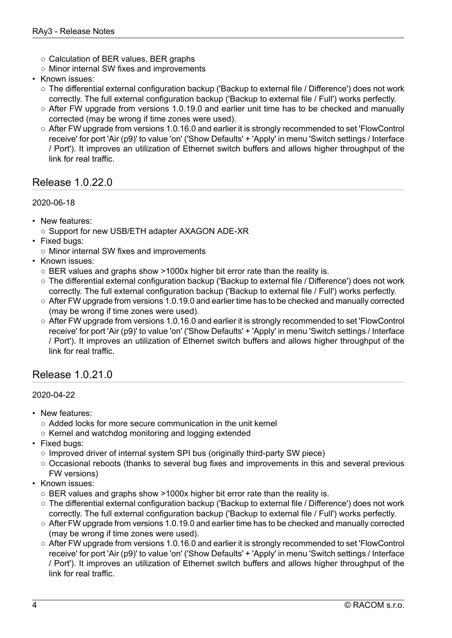- Calculation of BER values, BER graphs
- Minor internal SW fixes and improvements
- Known issues:
	- The differential external configuration backup ('Backup to external file / Difference') does not work correctly. The full external configuration backup ('Backup to external file / Full') works perfectly.
	- After FW upgrade from versions 1.0.19.0 and earlier unit time has to be checked and manually corrected (may be wrong if time zones were used).
	- After FW upgrade from versions 1.0.16.0 and earlier it is strongly recommended to set 'FlowControl receive' for port 'Air (p9)' to value 'on' ('Show Defaults' + 'Apply' in menu 'Switch settings / Interface / Port'). It improves an utilization of Ethernet switch buffers and allows higher throughput of the link for real traffic.

# Release 1.0.22.0

## 2020-06-18

- New features:
	- Support for new USB/ETH adapter AXAGON ADE-XR
- Fixed bugs:
- Minor internal SW fixes and improvements
- Known issues:
	- BER values and graphs show >1000x higher bit error rate than the reality is.
	- The differential external configuration backup ('Backup to external file / Difference') does not work correctly. The full external configuration backup ('Backup to external file / Full') works perfectly.
	- After FW upgrade from versions 1.0.19.0 and earlier time has to be checked and manually corrected (may be wrong if time zones were used).
	- After FW upgrade from versions 1.0.16.0 and earlier it is strongly recommended to set 'FlowControl receive' for port 'Air (p9)' to value 'on' ('Show Defaults' + 'Apply' in menu 'Switch settings / Interface / Port'). It improves an utilization of Ethernet switch buffers and allows higher throughput of the link for real traffic.

## Release 1.0.21.0

### 2020-04-22

- New features:
	- Added locks for more secure communication in the unit kernel
	- Kernel and watchdog monitoring and logging extended
- Fixed bugs:
	- Improved driver of internal system SPI bus (originally third-party SW piece)
	- Occasional reboots (thanks to several bug fixes and improvements in this and several previous FW versions)
- Known issues:
	- $\circ$  BER values and graphs show >1000x higher bit error rate than the reality is.
	- The differential external configuration backup ('Backup to external file / Difference') does not work correctly. The full external configuration backup ('Backup to external file / Full') works perfectly.
	- After FW upgrade from versions 1.0.19.0 and earlier time has to be checked and manually corrected (may be wrong if time zones were used).
	- After FW upgrade from versions 1.0.16.0 and earlier it is strongly recommended to set 'FlowControl receive' for port 'Air (p9)' to value 'on' ('Show Defaults' + 'Apply' in menu 'Switch settings / Interface / Port'). It improves an utilization of Ethernet switch buffers and allows higher throughput of the link for real traffic.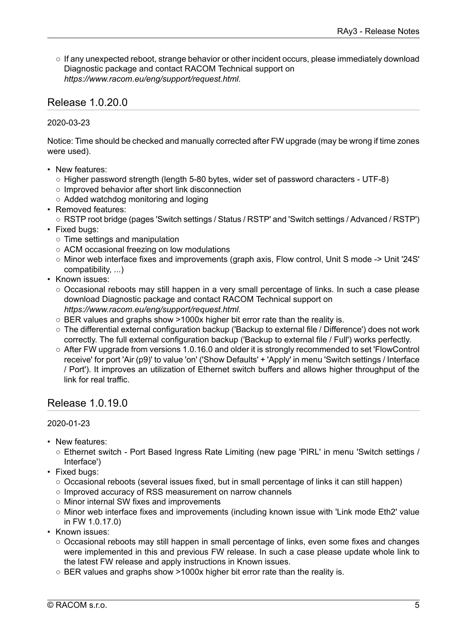○ If any unexpected reboot, strange behavior or other incident occurs, please immediately download Diagnostic package and contact RACOM Technical support on *<https://www.racom.eu/eng/support/request.html>*.

## Release 1.0.20.0

### 2020-03-23

Notice: Time should be checked and manually corrected after FW upgrade (may be wrong if time zones were used).

- New features:
	- Higher password strength (length 5-80 bytes, wider set of password characters UTF-8)
	- Improved behavior after short link disconnection
	- Added watchdog monitoring and loging
- Removed features:
	- RSTP root bridge (pages 'Switch settings / Status / RSTP' and 'Switch settings / Advanced / RSTP')
- Fixed bugs:
	- Time settings and manipulation
	- ACM occasional freezing on low modulations
	- Minor web interface fixes and improvements (graph axis, Flow control, Unit S mode -> Unit '24S' compatibility, ...)
- Known issues:
	- Occasional reboots may still happen in a very small percentage of links. In such a case please download Diagnostic package and contact RACOM Technical support on *<https://www.racom.eu/eng/support/request.html>*.
	- BER values and graphs show >1000x higher bit error rate than the reality is.
	- The differential external configuration backup ('Backup to external file / Difference') does not work correctly. The full external configuration backup ('Backup to external file / Full') works perfectly.
	- After FW upgrade from versions 1.0.16.0 and older it is strongly recommended to set 'FlowControl receive' for port 'Air (p9)' to value 'on' ('Show Defaults' + 'Apply' in menu 'Switch settings / Interface / Port'). It improves an utilization of Ethernet switch buffers and allows higher throughput of the link for real traffic.

## Release 1.0.19.0

### 2020-01-23

- New features:
	- Ethernet switch Port Based Ingress Rate Limiting (new page 'PIRL' in menu 'Switch settings / Interface')
- Fixed bugs:
	- Occasional reboots (several issues fixed, but in small percentage of links it can still happen)
	- Improved accuracy of RSS measurement on narrow channels
	- Minor internal SW fixes and improvements
	- Minor web interface fixes and improvements (including known issue with 'Link mode Eth2' value in FW 1.0.17.0)
- Known issues:
	- Occasional reboots may still happen in small percentage of links, even some fixes and changes were implemented in this and previous FW release. In such a case please update whole link to the latest FW release and apply instructions in Known issues.
	- $\circ$  BER values and graphs show >1000x higher bit error rate than the reality is.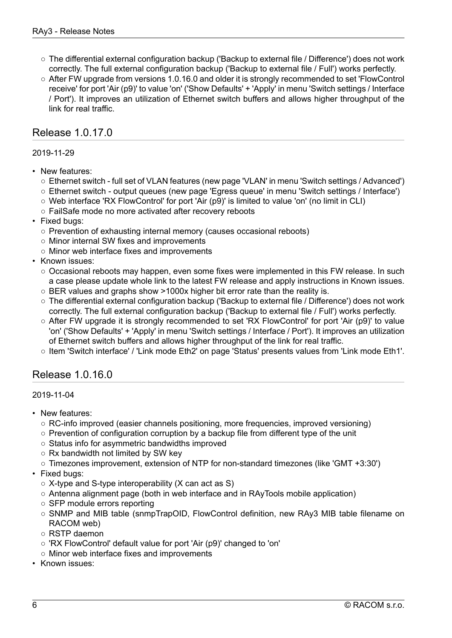- The differential external configuration backup ('Backup to external file / Difference') does not work correctly. The full external configuration backup ('Backup to external file / Full') works perfectly.
- After FW upgrade from versions 1.0.16.0 and older it is strongly recommended to set 'FlowControl receive' for port 'Air (p9)' to value 'on' ('Show Defaults' + 'Apply' in menu 'Switch settings / Interface / Port'). It improves an utilization of Ethernet switch buffers and allows higher throughput of the link for real traffic.

# Release 1.0.17.0

### 2019-11-29

- New features:
	- Ethernet switch full set of VLAN features (new page 'VLAN' in menu 'Switch settings / Advanced')
	- Ethernet switch output queues (new page 'Egress queue' in menu 'Switch settings / Interface')
	- Web interface 'RX FlowControl' for port 'Air (p9)' is limited to value 'on' (no limit in CLI)
	- FailSafe mode no more activated after recovery reboots
- Fixed bugs:
	- Prevention of exhausting internal memory (causes occasional reboots)
	- Minor internal SW fixes and improvements
	- Minor web interface fixes and improvements
- Known issues:
	- Occasional reboots may happen, even some fixes were implemented in this FW release. In such a case please update whole link to the latest FW release and apply instructions in Known issues.
	- BER values and graphs show >1000x higher bit error rate than the reality is.
	- The differential external configuration backup ('Backup to external file / Difference') does not work correctly. The full external configuration backup ('Backup to external file / Full') works perfectly.
	- After FW upgrade it is strongly recommended to set 'RX FlowControl' for port 'Air (p9)' to value 'on' ('Show Defaults' + 'Apply' in menu 'Switch settings / Interface / Port'). It improves an utilization of Ethernet switch buffers and allows higher throughput of the link for real traffic.
	- Item 'Switch interface' / 'Link mode Eth2' on page 'Status' presents values from 'Link mode Eth1'.

# Release 1.0.16.0

### 2019-11-04

- New features:
	- RC-info improved (easier channels positioning, more frequencies, improved versioning)
	- Prevention of configuration corruption by a backup file from different type of the unit
	- Status info for asymmetric bandwidths improved
	- Rx bandwidth not limited by SW key
	- Timezones improvement, extension of NTP for non-standard timezones (like 'GMT +3:30')
- Fixed bugs:
	- $\circ$  X-type and S-type interoperability (X can act as S)
	- Antenna alignment page (both in web interface and in RAyTools mobile application)
	- SFP module errors reporting
	- SNMP and MIB table (snmpTrapOID, FlowControl definition, new RAy3 MIB table filename on RACOM web)
	- RSTP daemon
	- 'RX FlowControl' default value for port 'Air (p9)' changed to 'on'
	- Minor web interface fixes and improvements
- Known issues: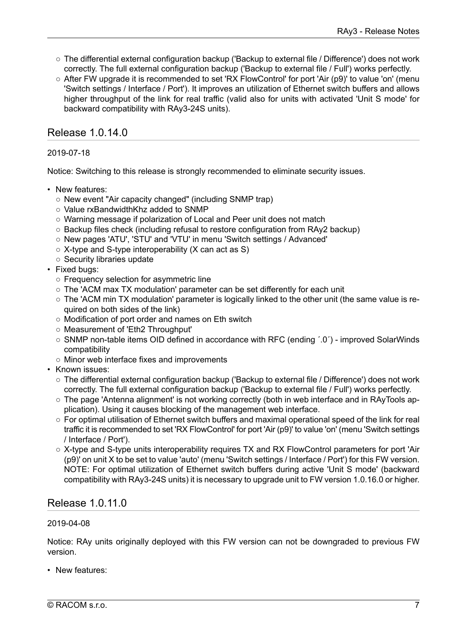- The differential external configuration backup ('Backup to external file / Difference') does not work correctly. The full external configuration backup ('Backup to external file / Full') works perfectly.
- After FW upgrade it is recommended to set 'RX FlowControl' for port 'Air (p9)' to value 'on' (menu 'Switch settings / Interface / Port'). It improves an utilization of Ethernet switch buffers and allows higher throughput of the link for real traffic (valid also for units with activated 'Unit S mode' for backward compatibility with RAy3-24S units).

# Release 1.0.14.0

### 2019-07-18

Notice: Switching to this release is strongly recommended to eliminate security issues.

- New features:
	- New event "Air capacity changed" (including SNMP trap)
	- Value rxBandwidthKhz added to SNMP
	- Warning message if polarization of Local and Peer unit does not match
	- Backup files check (including refusal to restore configuration from RAy2 backup)
	- New pages 'ATU', 'STU' and 'VTU' in menu 'Switch settings / Advanced'
	- $\circ$  X-type and S-type interoperability (X can act as S)
	- Security libraries update
- Fixed bugs:
	- Frequency selection for asymmetric line
	- The 'ACM max TX modulation' parameter can be set differently for each unit
	- $\circ$  The 'ACM min TX modulation' parameter is logically linked to the other unit (the same value is required on both sides of the link)
	- Modification of port order and names on Eth switch
	- Measurement of 'Eth2 Throughput'
	- SNMP non-table items OID defined in accordance with RFC (ending ´.0´) improved SolarWinds compatibility
	- Minor web interface fixes and improvements
- Known issues:
	- The differential external configuration backup ('Backup to external file / Difference') does not work correctly. The full external configuration backup ('Backup to external file / Full') works perfectly.
	- The page 'Antenna alignment' is not working correctly (both in web interface and in RAyTools application). Using it causes blocking of the management web interface.
	- For optimal utilisation of Ethernet switch buffers and maximal operational speed of the link for real traffic it is recommended to set 'RX FlowControl' for port 'Air (p9)' to value 'on' (menu 'Switch settings / Interface / Port').
	- X-type and S-type units interoperability requires TX and RX FlowControl parameters for port 'Air (p9)' on unit X to be set to value 'auto' (menu 'Switch settings / Interface / Port') for this FW version. NOTE: For optimal utilization of Ethernet switch buffers during active 'Unit S mode' (backward compatibility with RAy3-24S units) it is necessary to upgrade unit to FW version 1.0.16.0 or higher.

# Release 1.0.11.0

### 2019-04-08

Notice: RAy units originally deployed with this FW version can not be downgraded to previous FW version.

• New features: